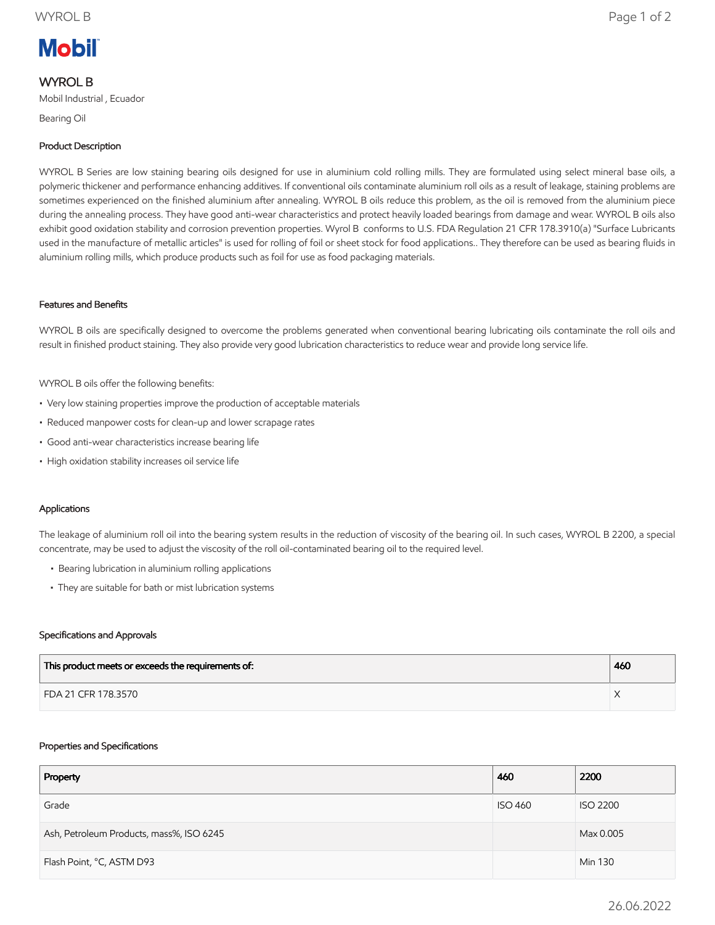# **Mobil**

## WYROL B

Mobil Industrial , Ecuador

Bearing Oil

### Product Description

WYROL B Series are low staining bearing oils designed for use in aluminium cold rolling mills. They are formulated using select mineral base oils, a polymeric thickener and performance enhancing additives. If conventional oils contaminate aluminium roll oils as a result of leakage, staining problems are sometimes experienced on the finished aluminium after annealing. WYROL B oils reduce this problem, as the oil is removed from the aluminium piece during the annealing process. They have good anti-wear characteristics and protect heavily loaded bearings from damage and wear. WYROL B oils also exhibit good oxidation stability and corrosion prevention properties. Wyrol B conforms to U.S. FDA Regulation 21 CFR 178.3910(a) "Surface Lubricants used in the manufacture of metallic articles" is used for rolling of foil or sheet stock for food applications.. They therefore can be used as bearing fluids in aluminium rolling mills, which produce products such as foil for use as food packaging materials.

#### Features and Benefits

WYROL B oils are specifically designed to overcome the problems generated when conventional bearing lubricating oils contaminate the roll oils and result in finished product staining. They also provide very good lubrication characteristics to reduce wear and provide long service life.

WYROL B oils offer the following benefits:

- Very low staining properties improve the production of acceptable materials
- Reduced manpower costs for clean-up and lower scrapage rates
- Good anti-wear characteristics increase bearing life
- High oxidation stability increases oil service life

#### Applications

The leakage of aluminium roll oil into the bearing system results in the reduction of viscosity of the bearing oil. In such cases, WYROL B 2200, a special concentrate, may be used to adjust the viscosity of the roll oil-contaminated bearing oil to the required level.

- Bearing lubrication in aluminium rolling applications
- They are suitable for bath or mist lubrication systems

#### Specifications and Approvals

| This product meets or exceeds the requirements of: | 460 |
|----------------------------------------------------|-----|
| FDA 21 CFR 178.3570                                |     |

#### Properties and Specifications

| Property                                 | 460            | 2200            |
|------------------------------------------|----------------|-----------------|
| Grade                                    | <b>ISO 460</b> | <b>ISO 2200</b> |
| Ash, Petroleum Products, mass%, ISO 6245 |                | Max 0.005       |
| Flash Point, °C, ASTM D93                |                | Min 130         |